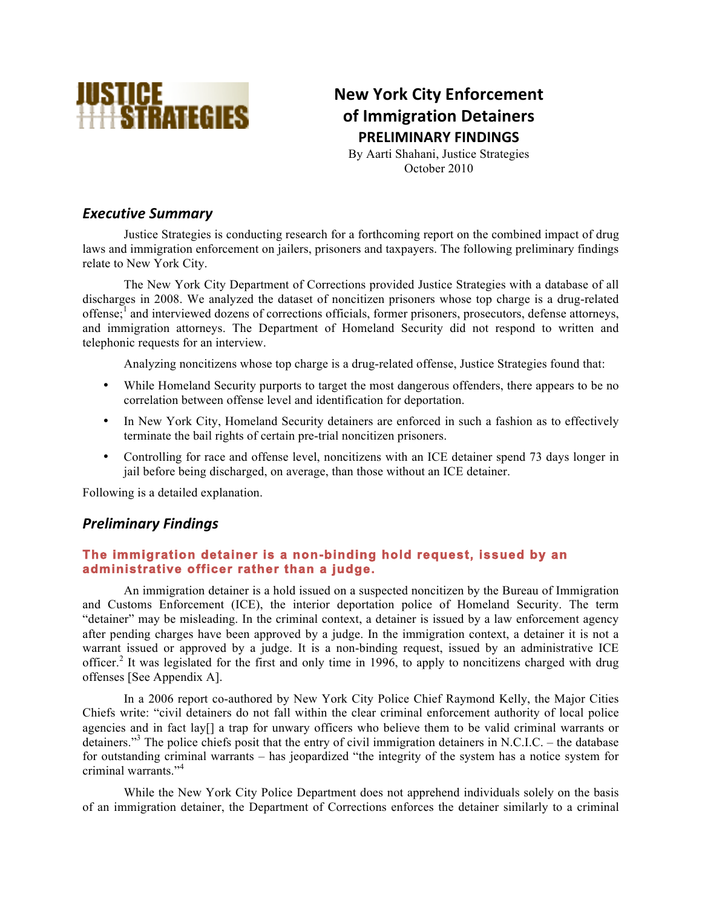

# **New York City Enforcement of Immigration Detainers PRELIMINARY FINDINGS**

By Aarti Shahani, Justice Strategies October 2010

### **Executive Summary**

Justice Strategies is conducting research for a forthcoming report on the combined impact of drug laws and immigration enforcement on jailers, prisoners and taxpayers. The following preliminary findings relate to New York City.

The New York City Department of Corrections provided Justice Strategies with a database of all discharges in 2008. We analyzed the dataset of noncitizen prisoners whose top charge is a drug-related offense;<sup>1</sup> and interviewed dozens of corrections officials, former prisoners, prosecutors, defense attorneys, and immigration attorneys. The Department of Homeland Security did not respond to written and telephonic requests for an interview.

Analyzing noncitizens whose top charge is a drug-related offense, Justice Strategies found that:

- While Homeland Security purports to target the most dangerous offenders, there appears to be no correlation between offense level and identification for deportation.
- In New York City, Homeland Security detainers are enforced in such a fashion as to effectively terminate the bail rights of certain pre-trial noncitizen prisoners.
- Controlling for race and offense level, noncitizens with an ICE detainer spend 73 days longer in jail before being discharged, on average, than those without an ICE detainer.

Following is a detailed explanation.

### *Preliminary)Findings*

### **The immigration detainer is a non-binding hold request, issued by an administrative officer rather than a judge.**

An immigration detainer is a hold issued on a suspected noncitizen by the Bureau of Immigration and Customs Enforcement (ICE), the interior deportation police of Homeland Security. The term "detainer" may be misleading. In the criminal context, a detainer is issued by a law enforcement agency after pending charges have been approved by a judge. In the immigration context, a detainer it is not a warrant issued or approved by a judge. It is a non-binding request, issued by an administrative ICE officer.<sup>2</sup> It was legislated for the first and only time in 1996, to apply to noncitizens charged with drug offenses [See Appendix A].

In a 2006 report co-authored by New York City Police Chief Raymond Kelly, the Major Cities Chiefs write: "civil detainers do not fall within the clear criminal enforcement authority of local police agencies and in fact lay[] a trap for unwary officers who believe them to be valid criminal warrants or detainers."<sup>3</sup> The police chiefs posit that the entry of civil immigration detainers in N.C.I.C. – the database for outstanding criminal warrants – has jeopardized "the integrity of the system has a notice system for criminal warrants."<sup>4</sup>

While the New York City Police Department does not apprehend individuals solely on the basis of an immigration detainer, the Department of Corrections enforces the detainer similarly to a criminal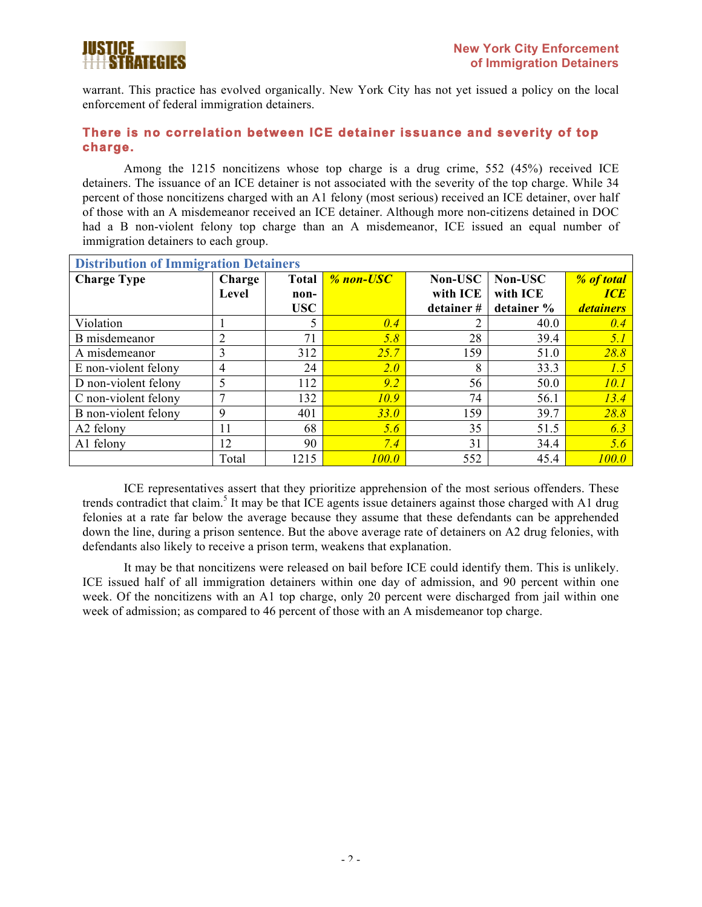

warrant. This practice has evolved organically. New York City has not yet issued a policy on the local enforcement of federal immigration detainers.

### **There is no correlation between ICE detainer issuance and severity of top charge.**

Among the 1215 noncitizens whose top charge is a drug crime, 552 (45%) received ICE detainers. The issuance of an ICE detainer is not associated with the severity of the top charge. While 34 percent of those noncitizens charged with an A1 felony (most serious) received an ICE detainer, over half of those with an A misdemeanor received an ICE detainer. Although more non-citizens detained in DOC had a B non-violent felony top charge than an A misdemeanor, ICE issued an equal number of immigration detainers to each group.

| <b>Distribution of Immigration Detainers</b> |                |              |           |           |            |                  |
|----------------------------------------------|----------------|--------------|-----------|-----------|------------|------------------|
| <b>Charge Type</b>                           | Charge         | <b>Total</b> | % non-USC | Non-USC   | Non-USC    | % of total       |
|                                              | Level          | non-         |           | with ICE  | with ICE   | ICE              |
|                                              |                | <b>USC</b>   |           | detainer# | detainer % | <i>detainers</i> |
| Violation                                    |                | 5            | 0.4       | 2         | 40.0       | 0.4              |
| B misdemeanor                                | $\overline{2}$ | 71           | 5.8       | 28        | 39.4       | 5.1              |
| A misdemeanor                                | 3              | 312          | 25.7      | 159       | 51.0       | 28.8             |
| E non-violent felony                         | $\overline{4}$ | 24           | 2.0       | 8         | 33.3       | 1.5              |
| D non-violent felony                         | 5              | 112          | 9.2       | 56        | 50.0       | <i>10.1</i>      |
| C non-violent felony                         | 7              | 132          | 10.9      | 74        | 56.1       | 13.4             |
| B non-violent felony                         | 9              | 401          | 33.0      | 159       | 39.7       | 28.8             |
| A2 felony                                    | 11             | 68           | 5.6       | 35        | 51.5       | 6.3              |
| A1 felony                                    | 12             | 90           | 7.4       | 31        | 34.4       | 5.6              |
|                                              | Total          | 1215         | 100.0     | 552       | 45.4       | 100.0            |

ICE representatives assert that they prioritize apprehension of the most serious offenders. These trends contradict that claim.<sup>5</sup> It may be that ICE agents issue detainers against those charged with A1 drug felonies at a rate far below the average because they assume that these defendants can be apprehended down the line, during a prison sentence. But the above average rate of detainers on A2 drug felonies, with defendants also likely to receive a prison term, weakens that explanation.

It may be that noncitizens were released on bail before ICE could identify them. This is unlikely. ICE issued half of all immigration detainers within one day of admission, and 90 percent within one week. Of the noncitizens with an A1 top charge, only 20 percent were discharged from jail within one week of admission; as compared to 46 percent of those with an A misdemeanor top charge.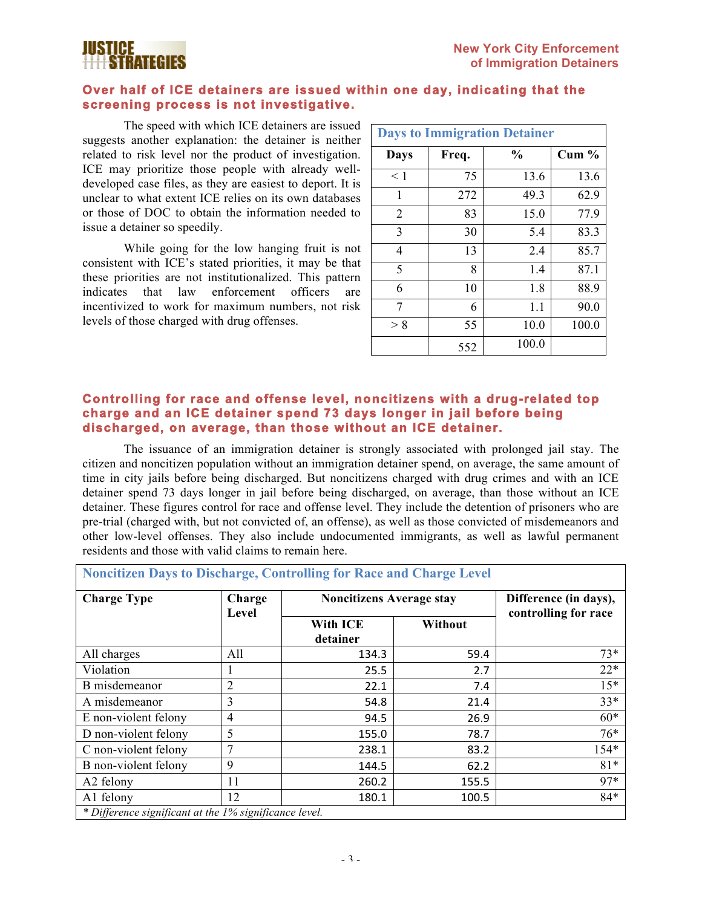

#### **Over half of ICE detainers are issued within one day, indicating that the screening process is not investigative.**

The speed with which ICE detainers are issued suggests another explanation: the detainer is neither related to risk level nor the product of investigation. ICE may prioritize those people with already welldeveloped case files, as they are easiest to deport. It is unclear to what extent ICE relies on its own databases or those of DOC to obtain the information needed to issue a detainer so speedily.

While going for the low hanging fruit is not consistent with ICE's stated priorities, it may be that these priorities are not institutionalized. This pattern indicates that law enforcement officers are incentivized to work for maximum numbers, not risk levels of those charged with drug offenses.

| <b>Days to Immigration Detainer</b> |       |               |       |  |  |
|-------------------------------------|-------|---------------|-------|--|--|
| <b>Days</b>                         | Freq. | $\frac{0}{0}$ | Cum % |  |  |
| $<$ 1                               | 75    | 13.6          | 13.6  |  |  |
| 1                                   | 272   | 49.3          | 62.9  |  |  |
| $\overline{2}$                      | 83    | 15.0          | 77.9  |  |  |
| 3                                   | 30    | 5.4           | 83.3  |  |  |
| 4                                   | 13    | 2.4           | 85.7  |  |  |
| 5                                   | 8     | 1.4           | 87.1  |  |  |
| 6                                   | 10    | 1.8           | 88.9  |  |  |
| 7                                   | 6     | 1.1           | 90.0  |  |  |
| > 8                                 | 55    | 10.0          | 100.0 |  |  |
|                                     | 552   | 100.0         |       |  |  |

### **Controlling for race and offense level, noncitizens with a drug-related top charge and an ICE detainer spend 73 days longer in jail before being discharged, on average, than those without an ICE detainer.**

The issuance of an immigration detainer is strongly associated with prolonged jail stay. The citizen and noncitizen population without an immigration detainer spend, on average, the same amount of time in city jails before being discharged. But noncitizens charged with drug crimes and with an ICE detainer spend 73 days longer in jail before being discharged, on average, than those without an ICE detainer. These figures control for race and offense level. They include the detention of prisoners who are pre-trial (charged with, but not convicted of, an offense), as well as those convicted of misdemeanors and other low-level offenses. They also include undocumented immigrants, as well as lawful permanent residents and those with valid claims to remain here.

**Noncitizen Days to Discharge, Controlling for Race and Charge Level** 

| <b>Charge Type</b>                                     | Charge<br>Level | <b>Noncitizens Average stay</b> | Difference (in days),<br>controlling for race |        |
|--------------------------------------------------------|-----------------|---------------------------------|-----------------------------------------------|--------|
|                                                        |                 | With ICE<br>detainer            | Without                                       |        |
| All charges                                            | All             | 134.3                           | 59.4                                          | $73*$  |
| Violation                                              |                 | 25.5                            | 2.7                                           | $22*$  |
| B misdemeanor                                          | $\overline{2}$  | 22.1                            | 7.4                                           | $15*$  |
| A misdemeanor                                          | 3               | 54.8                            | 21.4                                          | $33*$  |
| E non-violent felony                                   | 4               | 94.5                            | 26.9                                          | $60*$  |
| D non-violent felony                                   | 5               | 155.0                           | 78.7                                          | $76*$  |
| C non-violent felony                                   |                 | 238.1                           | 83.2                                          | $154*$ |
| B non-violent felony                                   | 9               | 144.5                           | 62.2                                          | $81*$  |
| A <sub>2</sub> felony                                  | 11              | 260.2                           | 155.5                                         | 97*    |
| A1 felony                                              | 12              | 180.1                           | 100.5                                         | $84*$  |
| * Difference significant at the 1% significance level. |                 |                                 |                                               |        |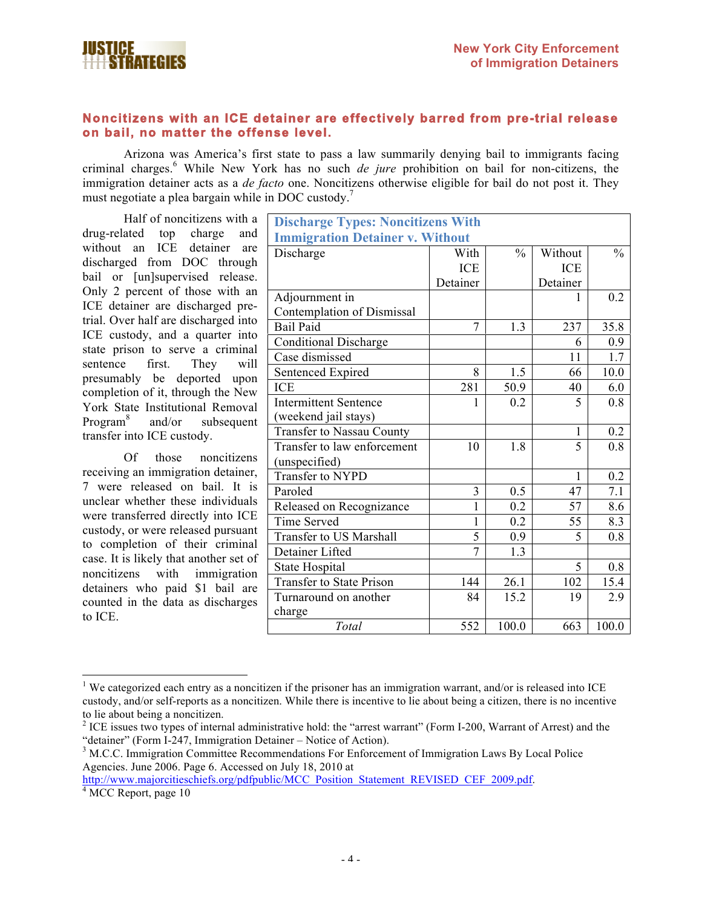

### **Noncitizens with an ICE detainer are effectively barred from pre-trial release on bail, no matter the offense level.**

Arizona was America's first state to pass a law summarily denying bail to immigrants facing criminal charges.<sup>6</sup> While New York has no such *de jure* prohibition on bail for non-citizens, the immigration detainer acts as a *de facto* one. Noncitizens otherwise eligible for bail do not post it. They must negotiate a plea bargain while in DOC custody.<sup>7</sup>

Half of noncitizens with a drug-related top charge and without an ICE detainer are discharged from DOC through bail or [un]supervised release. Only 2 percent of those with an ICE detainer are discharged pretrial. Over half are discharged into ICE custody, and a quarter into state prison to serve a criminal sentence first. They will presumably be deported upon completion of it, through the New York State Institutional Removal Program<sup>8</sup> and/or subsequent transfer into ICE custody.

Of those noncitizens receiving an immigration detainer, 7 were released on bail. It is unclear whether these individuals were transferred directly into ICE custody, or were released pursuant to completion of their criminal case. It is likely that another set of noncitizens with immigration detainers who paid \$1 bail are counted in the data as discharges to ICE.

| <b>Discharge Types: Noncitizens With</b> |                |               |            |               |  |
|------------------------------------------|----------------|---------------|------------|---------------|--|
| <b>Immigration Detainer v. Without</b>   |                |               |            |               |  |
| Discharge                                | With           | $\frac{0}{0}$ | Without    | $\frac{0}{0}$ |  |
|                                          | <b>ICE</b>     |               | <b>ICE</b> |               |  |
|                                          | Detainer       |               | Detainer   |               |  |
| Adjournment in                           |                |               | 1          | 0.2           |  |
| Contemplation of Dismissal               |                |               |            |               |  |
| <b>Bail Paid</b>                         | $\overline{7}$ | 1.3           | 237        | 35.8          |  |
| <b>Conditional Discharge</b>             |                |               | 6          | 0.9           |  |
| Case dismissed                           |                |               | 11         | 1.7           |  |
| Sentenced Expired                        | 8              | 1.5           | 66         | 10.0          |  |
| <b>ICE</b>                               | 281            | 50.9          | 40         | 6.0           |  |
| <b>Intermittent Sentence</b>             | 1              | 0.2           | 5          | 0.8           |  |
| (weekend jail stays)                     |                |               |            |               |  |
| Transfer to Nassau County                |                |               | 1          | 0.2           |  |
| Transfer to law enforcement              | 10             | 1.8           | 5          | 0.8           |  |
| (unspecified)                            |                |               |            |               |  |
| Transfer to NYPD                         |                |               | 1          | 0.2           |  |
| Paroled                                  | 3              | 0.5           | 47         | 7.1           |  |
| Released on Recognizance                 | $\mathbf{1}$   | 0.2           | 57         | 8.6           |  |
| <b>Time Served</b>                       | $\mathbf{1}$   | 0.2           | 55         | 8.3           |  |
| Transfer to US Marshall                  | 5              | 0.9           | 5          | 0.8           |  |
| Detainer Lifted                          | $\overline{7}$ | 1.3           |            |               |  |
| State Hospital                           |                |               | 5          | 0.8           |  |
| <b>Transfer to State Prison</b>          | 144            | 26.1          | 102        | 15.4          |  |
| Turnaround on another                    | 84             | 15.2          | 19         | 2.9           |  |
| charge                                   |                |               |            |               |  |
| Total                                    | 552            | 100.0         | 663        | 100.0         |  |

 $\frac{1}{1}$ <sup>1</sup> We categorized each entry as a noncitizen if the prisoner has an immigration warrant, and/or is released into ICE custody, and/or self-reports as a noncitizen. While there is incentive to lie about being a citizen, there is no incentive to lie about being a noncitizen.

http://www.majorcitieschiefs.org/pdfpublic/MCC\_Position\_Statement\_REVISED\_CEF\_2009.pdf.  $4$  MCC Report, page 10

<sup>&</sup>lt;sup>2</sup> ICE issues two types of internal administrative hold: the "arrest warrant" (Form I-200, Warrant of Arrest) and the "detainer" (Form I-247, Immigration Detainer – Notice of Action). <sup>3</sup>

<sup>&</sup>lt;sup>3</sup> M.C.C. Immigration Committee Recommendations For Enforcement of Immigration Laws By Local Police Agencies. June 2006. Page 6. Accessed on July 18, 2010 at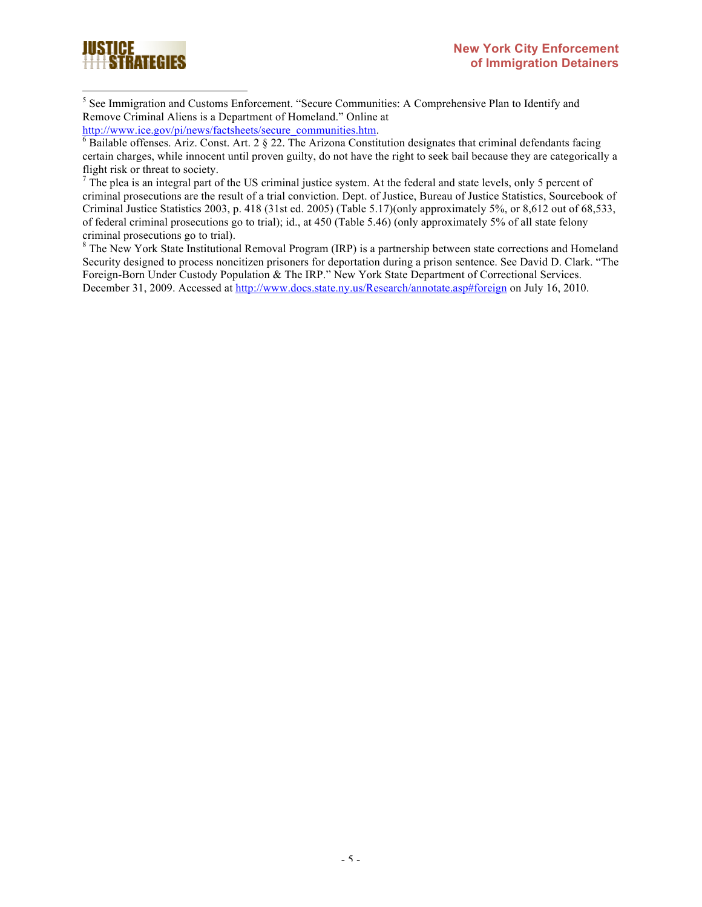

 5 <sup>5</sup> See Immigration and Customs Enforcement. "Secure Communities: A Comprehensive Plan to Identify and Remove Criminal Aliens is a Department of Homeland." Online at http://www.ice.gov/pi/news/factsheets/secure\_communities.htm.

 $6$  Bailable offenses. Ariz. Const. Art. 2  $\S$  22. The Arizona Constitution designates that criminal defendants facing certain charges, while innocent until proven guilty, do not have the right to seek bail because they are categorically a flight risk or threat to society.

 $<sup>7</sup>$  The plea is an integral part of the US criminal justice system. At the federal and state levels, only 5 percent of</sup> criminal prosecutions are the result of a trial conviction. Dept. of Justice, Bureau of Justice Statistics, Sourcebook of Criminal Justice Statistics 2003, p. 418 (31st ed. 2005) (Table 5.17)(only approximately 5%, or 8,612 out of 68,533, of federal criminal prosecutions go to trial); id., at 450 (Table 5.46) (only approximately 5% of all state felony criminal prosecutions go to trial).

 $8$  The New York State Institutional Removal Program (IRP) is a partnership between state corrections and Homeland Security designed to process noncitizen prisoners for deportation during a prison sentence. See David D. Clark. "The Foreign-Born Under Custody Population & The IRP." New York State Department of Correctional Services. December 31, 2009. Accessed at http://www.docs.state.ny.us/Research/annotate.asp#foreign on July 16, 2010.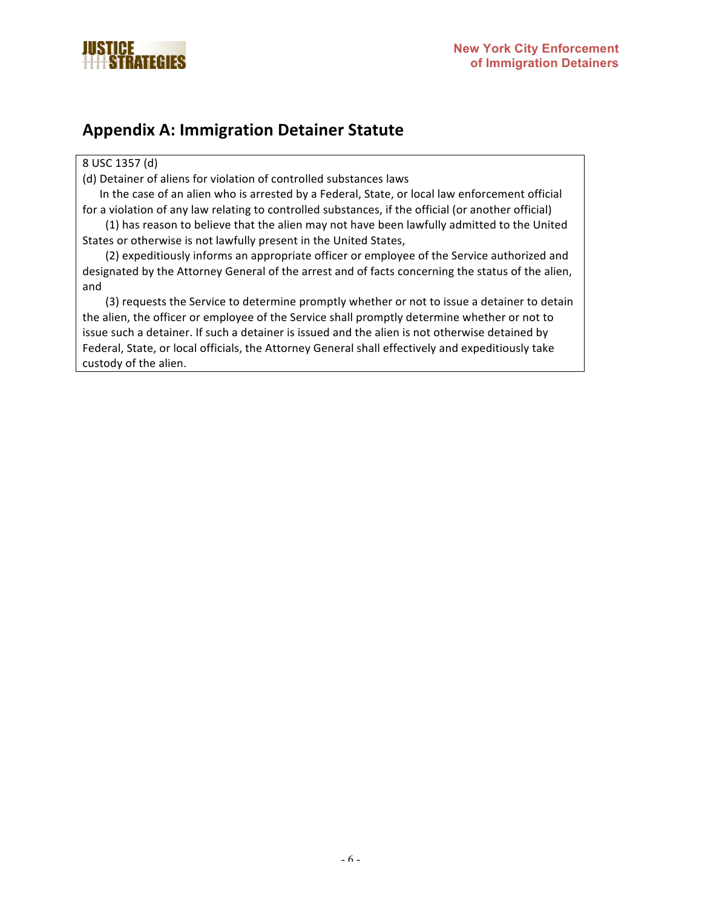

## **Appendix A: Immigration Detainer Statute**

#### 8 USC 1357 (d)

(d) Detainer of aliens for violation of controlled substances laws

In the case of an alien who is arrested by a Federal, State, or local law enforcement official for a violation of any law relating to controlled substances, if the official (or another official)

(1) has reason to believe that the alien may not have been lawfully admitted to the United States or otherwise is not lawfully present in the United States,

(2) expeditiously informs an appropriate officer or employee of the Service authorized and designated by the Attorney General of the arrest and of facts concerning the status of the alien, and

(3) requests the Service to determine promptly whether or not to issue a detainer to detain the alien, the officer or employee of the Service shall promptly determine whether or not to issue such a detainer. If such a detainer is issued and the alien is not otherwise detained by Federal, State, or local officials, the Attorney General shall effectively and expeditiously take custody of the alien.